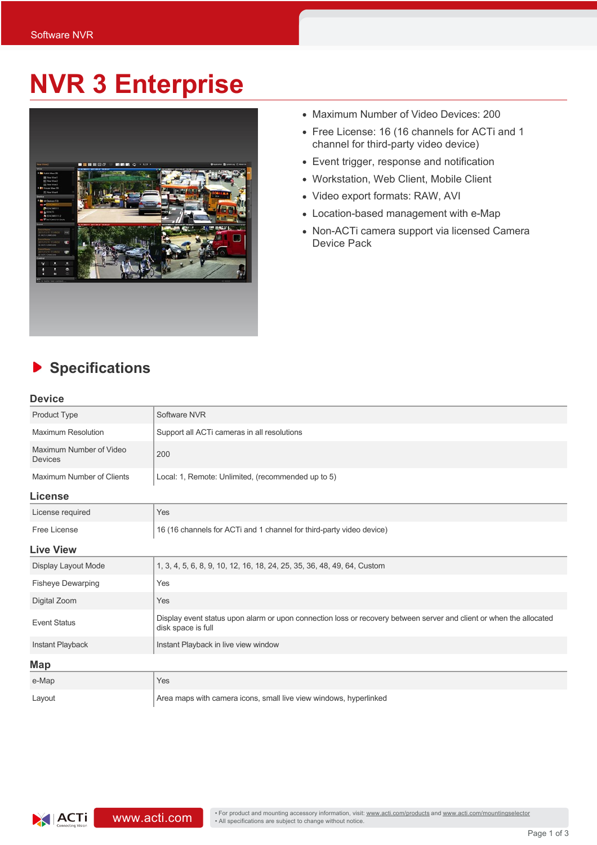## **NVR 3 Enterprise**



- Maximum Number of Video Devices: 200
- Free License: 16 (16 channels for ACTi and 1 channel for third-party video device)
- Event trigger, response and notification
- Workstation, Web Client, Mobile Client
- Video export formats: RAW, AVI
- Location-based management with e-Map
- Non-ACTi camera support via licensed Camera Device Pack

## **Specifications** ▶

## **Device**

| <u>.</u>                                  |                                                                                                                                           |
|-------------------------------------------|-------------------------------------------------------------------------------------------------------------------------------------------|
| Product Type                              | Software NVR                                                                                                                              |
| <b>Maximum Resolution</b>                 | Support all ACTi cameras in all resolutions                                                                                               |
| Maximum Number of Video<br><b>Devices</b> | 200                                                                                                                                       |
| Maximum Number of Clients                 | Local: 1, Remote: Unlimited, (recommended up to 5)                                                                                        |
| <b>License</b>                            |                                                                                                                                           |
| License required                          | Yes                                                                                                                                       |
| Free License                              | 16 (16 channels for ACTi and 1 channel for third-party video device)                                                                      |
| <b>Live View</b>                          |                                                                                                                                           |
| Display Layout Mode                       | 1, 3, 4, 5, 6, 8, 9, 10, 12, 16, 18, 24, 25, 35, 36, 48, 49, 64, Custom                                                                   |
| <b>Fisheye Dewarping</b>                  | Yes                                                                                                                                       |
| Digital Zoom                              | Yes                                                                                                                                       |
| <b>Event Status</b>                       | Display event status upon alarm or upon connection loss or recovery between server and client or when the allocated<br>disk space is full |
| Instant Playback                          | Instant Playback in live view window                                                                                                      |
| Map                                       |                                                                                                                                           |
| e-Map                                     | Yes                                                                                                                                       |
| Layout                                    | Area maps with camera icons, small live view windows, hyperlinked                                                                         |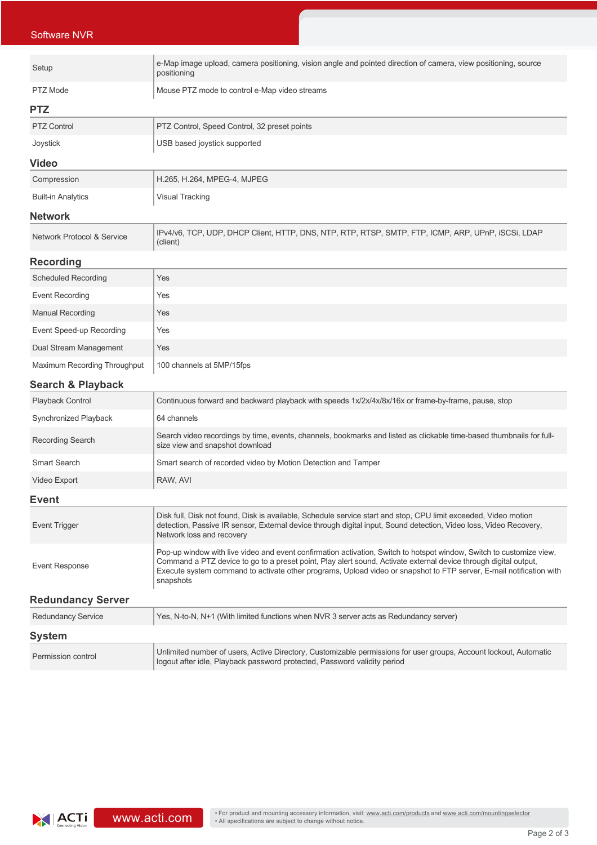| <b>Software NVR</b>                   |                                                                                                                                                                                                                                                                                                                                                                              |  |
|---------------------------------------|------------------------------------------------------------------------------------------------------------------------------------------------------------------------------------------------------------------------------------------------------------------------------------------------------------------------------------------------------------------------------|--|
| Setup                                 | e-Map image upload, camera positioning, vision angle and pointed direction of camera, view positioning, source<br>positioning                                                                                                                                                                                                                                                |  |
| <b>PTZ</b> Mode                       | Mouse PTZ mode to control e-Map video streams                                                                                                                                                                                                                                                                                                                                |  |
| <b>PTZ</b>                            |                                                                                                                                                                                                                                                                                                                                                                              |  |
| <b>PTZ Control</b>                    | PTZ Control, Speed Control, 32 preset points                                                                                                                                                                                                                                                                                                                                 |  |
| Joystick                              | USB based joystick supported                                                                                                                                                                                                                                                                                                                                                 |  |
| <b>Video</b>                          |                                                                                                                                                                                                                                                                                                                                                                              |  |
| Compression                           | H.265, H.264, MPEG-4, MJPEG                                                                                                                                                                                                                                                                                                                                                  |  |
| <b>Built-in Analytics</b>             | Visual Tracking                                                                                                                                                                                                                                                                                                                                                              |  |
| <b>Network</b>                        |                                                                                                                                                                                                                                                                                                                                                                              |  |
| <b>Network Protocol &amp; Service</b> | IPv4/v6, TCP, UDP, DHCP Client, HTTP, DNS, NTP, RTP, RTSP, SMTP, FTP, ICMP, ARP, UPnP, ISCSI, LDAP<br>(client)                                                                                                                                                                                                                                                               |  |
| <b>Recording</b>                      |                                                                                                                                                                                                                                                                                                                                                                              |  |
| <b>Scheduled Recording</b>            | Yes                                                                                                                                                                                                                                                                                                                                                                          |  |
| <b>Event Recording</b>                | Yes                                                                                                                                                                                                                                                                                                                                                                          |  |
| <b>Manual Recording</b>               | Yes                                                                                                                                                                                                                                                                                                                                                                          |  |
| Event Speed-up Recording              | Yes                                                                                                                                                                                                                                                                                                                                                                          |  |
| Dual Stream Management                | Yes                                                                                                                                                                                                                                                                                                                                                                          |  |
| Maximum Recording Throughput          | 100 channels at 5MP/15fps                                                                                                                                                                                                                                                                                                                                                    |  |
| <b>Search &amp; Playback</b>          |                                                                                                                                                                                                                                                                                                                                                                              |  |
| Playback Control                      | Continuous forward and backward playback with speeds 1x/2x/4x/8x/16x or frame-by-frame, pause, stop                                                                                                                                                                                                                                                                          |  |
| Synchronized Playback                 | 64 channels                                                                                                                                                                                                                                                                                                                                                                  |  |
| Recording Search                      | Search video recordings by time, events, channels, bookmarks and listed as clickable time-based thumbnails for full-<br>size view and snapshot download                                                                                                                                                                                                                      |  |
| <b>Smart Search</b>                   | Smart search of recorded video by Motion Detection and Tamper                                                                                                                                                                                                                                                                                                                |  |
| Video Export                          | RAW. AVI                                                                                                                                                                                                                                                                                                                                                                     |  |
| <b>Event</b>                          |                                                                                                                                                                                                                                                                                                                                                                              |  |
| <b>Event Trigger</b>                  | Disk full, Disk not found, Disk is available, Schedule service start and stop, CPU limit exceeded, Video motion<br>detection, Passive IR sensor, External device through digital input, Sound detection, Video loss, Video Recovery,<br>Network loss and recovery                                                                                                            |  |
| <b>Event Response</b>                 | Pop-up window with live video and event confirmation activation, Switch to hotspot window, Switch to customize view,<br>Command a PTZ device to go to a preset point, Play alert sound, Activate external device through digital output,<br>Execute system command to activate other programs, Upload video or snapshot to FTP server, E-mail notification with<br>snapshots |  |
| <b>Redundancy Server</b>              |                                                                                                                                                                                                                                                                                                                                                                              |  |
| <b>Redundancy Service</b>             | Yes, N-to-N, N+1 (With limited functions when NVR 3 server acts as Redundancy server)                                                                                                                                                                                                                                                                                        |  |
| <b>System</b>                         |                                                                                                                                                                                                                                                                                                                                                                              |  |
| Permission control                    | Unlimited number of users, Active Directory, Customizable permissions for user groups, Account lockout, Automatic<br>logout after idle, Playback password protected, Password validity period                                                                                                                                                                                |  |